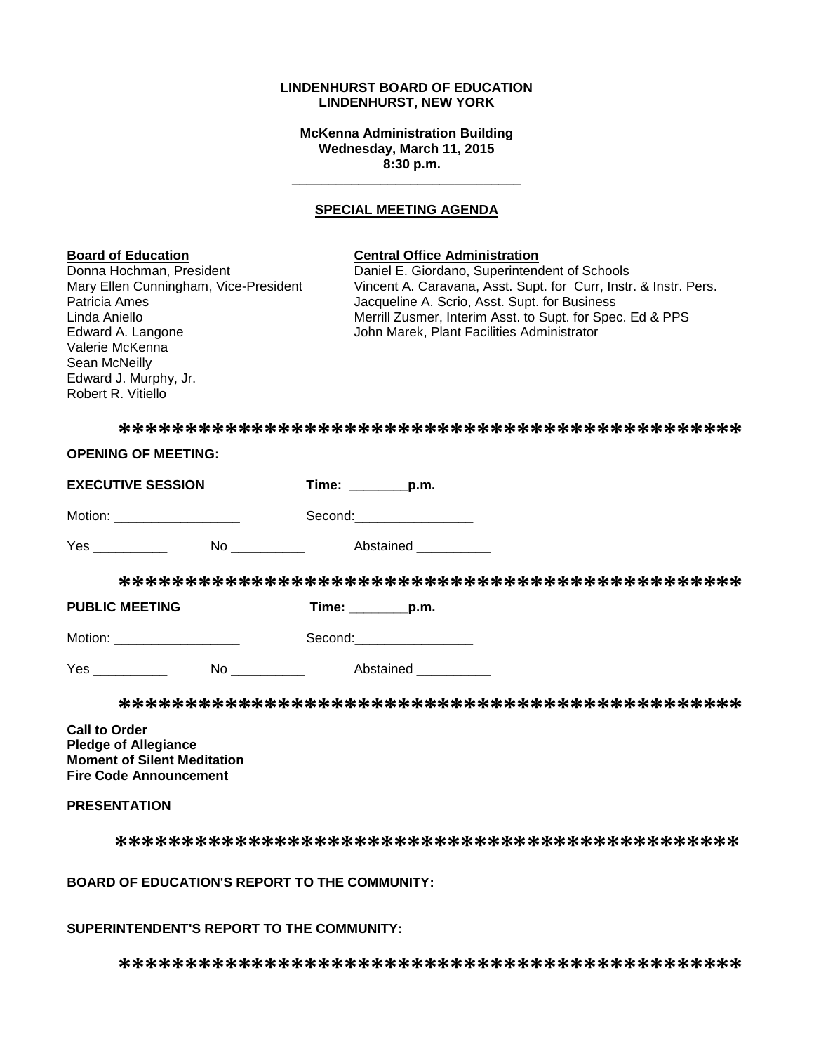#### **LINDENHURST BOARD OF EDUCATION LINDENHURST, NEW YORK**

**McKenna Administration Building Wednesday, March 11, 2015 8:30 p.m.**

#### **SPECIAL MEETING AGENDA**

**\_\_\_\_\_\_\_\_\_\_\_\_\_\_\_\_\_\_\_\_\_\_\_\_\_\_\_\_\_\_\_**

# **Board of Education Central Office Administration** Donna Hochman, President **Daniel E. Giordano, Superintendent of Schools**<br>Mary Ellen Cunningham, Vice-President Vincent A. Caravana, Asst. Supt. for Curr, Instr Vincent A. Caravana, Asst. Supt. for Curr, Instr. & Instr. Pers. Patricia Ames **The Contract Americia** Americia Americia Americia Americia Americia Americia Americia Americia Americia Americia Americia Americia Americia Americia Americia Americia Americia Americia Americia Americia Amer Linda Aniello **Merrill Zusmer, Interim Asst. to Supt. for Spec. Ed & PPS**<br>Edward A. Langone **Merrician State State State State State State State State State State State State State State** John Marek, Plant Facilities Administrator Valerie McKenna Sean McNeilly Edward J. Murphy, Jr. Robert R. Vitiello **\*\*\*\*\*\*\*\*\*\*\*\*\*\*\*\*\*\*\*\*\*\*\*\*\*\*\*\*\*\*\*\*\*\*\*\*\*\*\*\*\*\*\*\*\*\*\* OPENING OF MEETING: EXECUTIVE SESSION Time: \_\_\_\_\_\_\_\_p.m.** Motion: \_\_\_\_\_\_\_\_\_\_\_\_\_\_\_\_\_ Second:\_\_\_\_\_\_\_\_\_\_\_\_\_\_\_\_ Yes \_\_\_\_\_\_\_\_\_\_\_\_ No \_\_\_\_\_\_\_\_\_ Abstained \_\_\_\_\_\_\_\_ **\*\*\*\*\*\*\*\*\*\*\*\*\*\*\*\*\*\*\*\*\*\*\*\*\*\*\*\*\*\*\*\*\*\*\*\*\*\*\*\*\*\*\*\*\*\*\* PUBLIC MEETING Time: \_\_\_\_\_\_\_\_p.m.** Motion: \_\_\_\_\_\_\_\_\_\_\_\_\_\_\_\_\_ Second:\_\_\_\_\_\_\_\_\_\_\_\_\_\_\_\_ Yes \_\_\_\_\_\_\_\_\_\_ No \_\_\_\_\_\_\_\_\_\_ Abstained \_\_\_\_\_\_\_\_\_\_

**\*\*\*\*\*\*\*\*\*\*\*\*\*\*\*\*\*\*\*\*\*\*\*\*\*\*\*\*\*\*\*\*\*\*\*\*\*\*\*\*\*\*\*\*\*\*\***

**Call to Order Pledge of Allegiance Moment of Silent Meditation Fire Code Announcement**

# **PRESENTATION**

**\*\*\*\*\*\*\*\*\*\*\*\*\*\*\*\*\*\*\*\*\*\*\*\*\*\*\*\*\*\*\*\*\*\*\*\*\*\*\*\*\*\*\*\*\*\*\***

#### **BOARD OF EDUCATION'S REPORT TO THE COMMUNITY:**

#### **SUPERINTENDENT'S REPORT TO THE COMMUNITY:**

**\*\*\*\*\*\*\*\*\*\*\*\*\*\*\*\*\*\*\*\*\*\*\*\*\*\*\*\*\*\*\*\*\*\*\*\*\*\*\*\*\*\*\*\*\*\*\***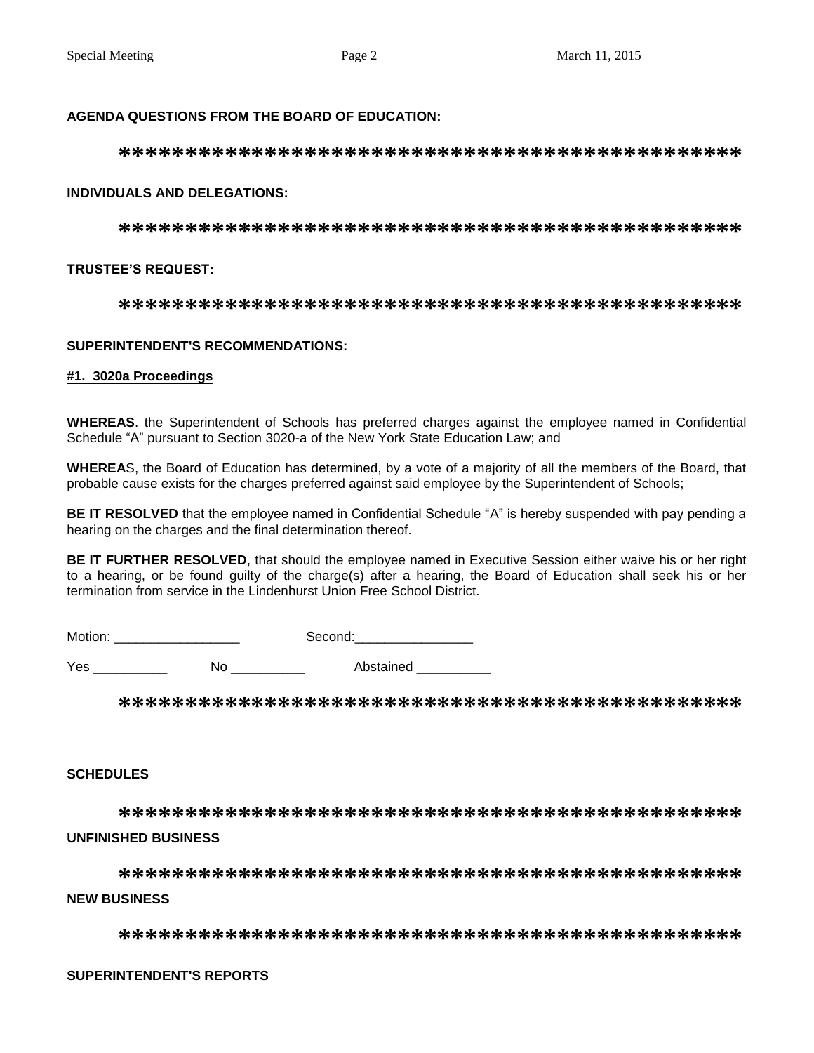# **AGENDA QUESTIONS FROM THE BOARD OF EDUCATION:**

### **INDIVIDUALS AND DELEGATIONS:**

## **TRUSTEE'S REQUEST:**

## **SUPERINTENDENT'S RECOMMENDATIONS:**

#### #1. 3020a Proceedings

WHEREAS. the Superintendent of Schools has preferred charges against the employee named in Confidential Schedule "A" pursuant to Section 3020-a of the New York State Education Law; and

WHEREAS, the Board of Education has determined, by a vote of a majority of all the members of the Board, that probable cause exists for the charges preferred against said employee by the Superintendent of Schools;

BE IT RESOLVED that the employee named in Confidential Schedule "A" is hereby suspended with pay pending a hearing on the charges and the final determination thereof.

BE IT FURTHER RESOLVED, that should the employee named in Executive Session either waive his or her right to a hearing, or be found quilty of the charge(s) after a hearing, the Board of Education shall seek his or her termination from service in the Lindenhurst Union Free School District.

Yes \_\_\_\_\_\_\_\_\_\_\_\_\_ No \_\_\_\_\_\_\_\_\_\_ Abstained \_\_\_\_\_\_\_\_

#### **SCHEDULES**

### **UNFINISHED BUSINESS**

# **NEW BUSINESS**

## **SUPERINTENDENT'S REPORTS**